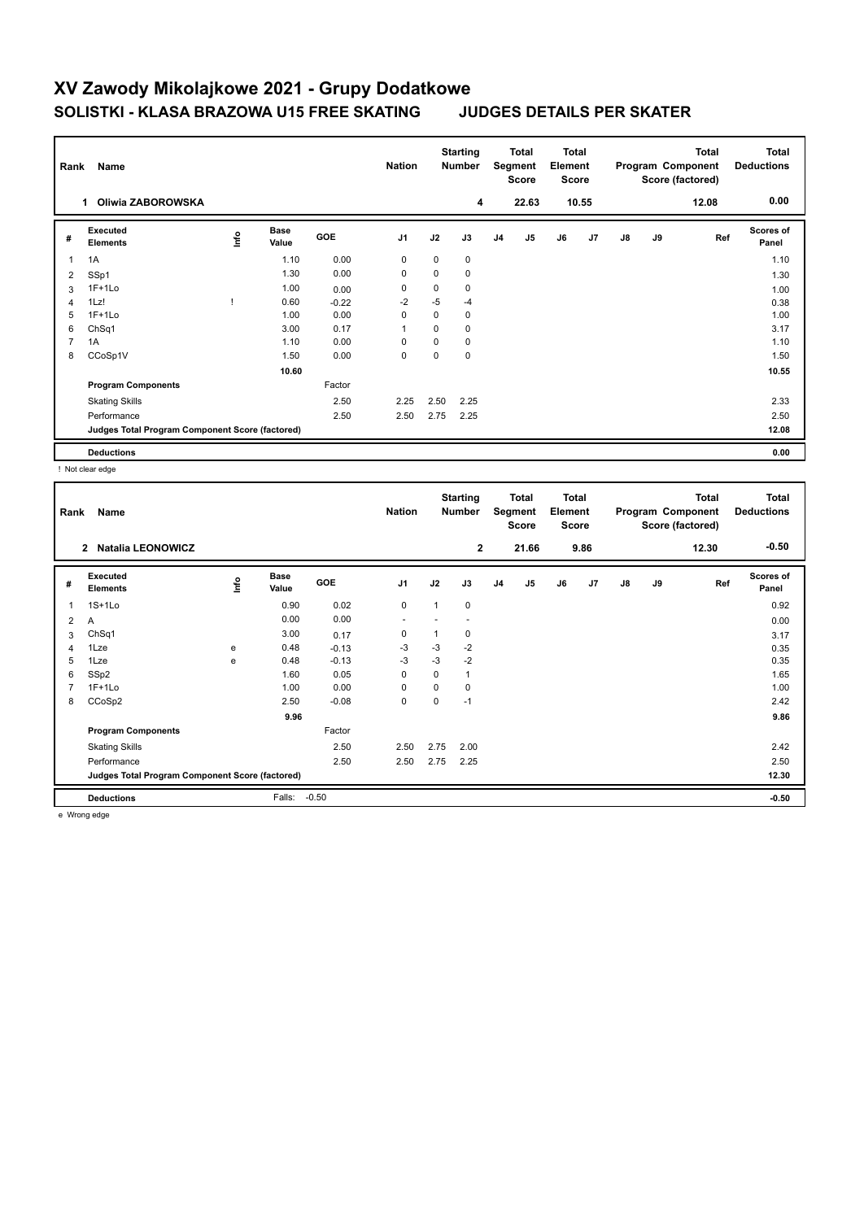# **XV Zawody Mikolajkowe 2021 - Grupy Dodatkowe SOLISTKI - KLASA BRAZOWA U15 FREE SKATING JUDGES DETAILS PER SKATER**

| Name<br>Rank   |                                                 |    |                      | <b>Starting</b><br><b>Nation</b><br><b>Number</b> |                | Total<br>Segment<br><b>Score</b> |      | <b>Total</b><br>Element<br><b>Score</b> |                | <b>Total</b><br>Program Component<br>Score (factored) |                |               | <b>Total</b><br><b>Deductions</b> |       |                    |
|----------------|-------------------------------------------------|----|----------------------|---------------------------------------------------|----------------|----------------------------------|------|-----------------------------------------|----------------|-------------------------------------------------------|----------------|---------------|-----------------------------------|-------|--------------------|
|                | Oliwia ZABOROWSKA<br>1.                         |    |                      |                                                   |                |                                  | 4    |                                         | 22.63          |                                                       | 10.55          |               |                                   | 12.08 | 0.00               |
| #              | <b>Executed</b><br><b>Elements</b>              | ۴ů | <b>Base</b><br>Value | GOE                                               | J <sub>1</sub> | J2                               | J3   | J <sub>4</sub>                          | J <sub>5</sub> | J6                                                    | J <sub>7</sub> | $\mathsf{J}8$ | J9                                | Ref   | Scores of<br>Panel |
| $\overline{1}$ | 1A                                              |    | 1.10                 | 0.00                                              | 0              | $\mathbf 0$                      | 0    |                                         |                |                                                       |                |               |                                   |       | 1.10               |
| 2              | SSp1                                            |    | 1.30                 | 0.00                                              | 0              | 0                                | 0    |                                         |                |                                                       |                |               |                                   |       | 1.30               |
| 3              | $1F+1Lo$                                        |    | 1.00                 | 0.00                                              | 0              | 0                                | 0    |                                         |                |                                                       |                |               |                                   |       | 1.00               |
| $\overline{4}$ | 1Lz!                                            |    | 0.60                 | $-0.22$                                           | $-2$           | $-5$                             | $-4$ |                                         |                |                                                       |                |               |                                   |       | 0.38               |
| 5              | $1F+1Lo$                                        |    | 1.00                 | 0.00                                              | 0              | 0                                | 0    |                                         |                |                                                       |                |               |                                   |       | 1.00               |
| 6              | ChSq1                                           |    | 3.00                 | 0.17                                              |                | 0                                | 0    |                                         |                |                                                       |                |               |                                   |       | 3.17               |
| $\overline{7}$ | 1A                                              |    | 1.10                 | 0.00                                              | 0              | 0                                | 0    |                                         |                |                                                       |                |               |                                   |       | 1.10               |
| 8              | CCoSp1V                                         |    | 1.50                 | 0.00                                              | 0              | 0                                | 0    |                                         |                |                                                       |                |               |                                   |       | 1.50               |
|                |                                                 |    | 10.60                |                                                   |                |                                  |      |                                         |                |                                                       |                |               |                                   |       | 10.55              |
|                | <b>Program Components</b>                       |    |                      | Factor                                            |                |                                  |      |                                         |                |                                                       |                |               |                                   |       |                    |
|                | <b>Skating Skills</b>                           |    |                      | 2.50                                              | 2.25           | 2.50                             | 2.25 |                                         |                |                                                       |                |               |                                   |       | 2.33               |
|                | Performance                                     |    |                      | 2.50                                              | 2.50           | 2.75                             | 2.25 |                                         |                |                                                       |                |               |                                   |       | 2.50               |
|                | Judges Total Program Component Score (factored) |    |                      |                                                   |                |                                  |      |                                         |                |                                                       |                |               |                                   |       | 12.08              |
|                | <b>Deductions</b>                               |    |                      |                                                   |                |                                  |      |                                         |                |                                                       |                |               |                                   |       | 0.00               |

! Not clear edge

| Rank           | Name                                            |            |                      |            | <b>Nation</b>  |             | <b>Starting</b><br><b>Number</b> |                | Total<br>Segment<br><b>Score</b> | <b>Total</b><br>Element<br><b>Score</b> |      |    |    | <b>Total</b><br>Program Component<br>Score (factored) | <b>Total</b><br><b>Deductions</b> |
|----------------|-------------------------------------------------|------------|----------------------|------------|----------------|-------------|----------------------------------|----------------|----------------------------------|-----------------------------------------|------|----|----|-------------------------------------------------------|-----------------------------------|
|                | <b>Natalia LEONOWICZ</b><br>$\overline{2}$      |            |                      |            |                |             | $\overline{2}$                   |                | 21.66                            |                                         | 9.86 |    |    | 12.30                                                 | $-0.50$                           |
| #              | Executed<br><b>Elements</b>                     | <b>Lin</b> | <b>Base</b><br>Value | <b>GOE</b> | J <sub>1</sub> | J2          | J3                               | J <sub>4</sub> | J <sub>5</sub>                   | J6                                      | J7   | J8 | J9 | Ref                                                   | <b>Scores of</b><br>Panel         |
| 1              | $1S+1Lo$                                        |            | 0.90                 | 0.02       | 0              |             | 0                                |                |                                  |                                         |      |    |    |                                                       | 0.92                              |
| 2              | A                                               |            | 0.00                 | 0.00       | ٠              |             |                                  |                |                                  |                                         |      |    |    |                                                       | 0.00                              |
| 3              | ChSq1                                           |            | 3.00                 | 0.17       | 0              |             | 0                                |                |                                  |                                         |      |    |    |                                                       | 3.17                              |
| $\overline{4}$ | 1Lze                                            | e          | 0.48                 | $-0.13$    | $-3$           | $-3$        | $-2$                             |                |                                  |                                         |      |    |    |                                                       | 0.35                              |
| 5              | 1Lze                                            | e          | 0.48                 | $-0.13$    | $-3$           | $-3$        | $-2$                             |                |                                  |                                         |      |    |    |                                                       | 0.35                              |
| 6              | SSp2                                            |            | 1.60                 | 0.05       | 0              | 0           | $\mathbf{1}$                     |                |                                  |                                         |      |    |    |                                                       | 1.65                              |
| $\overline{7}$ | $1F+1Lo$                                        |            | 1.00                 | 0.00       | $\mathbf 0$    | $\mathbf 0$ | 0                                |                |                                  |                                         |      |    |    |                                                       | 1.00                              |
| 8              | CCoSp2                                          |            | 2.50                 | $-0.08$    | $\mathbf 0$    | 0           | $-1$                             |                |                                  |                                         |      |    |    |                                                       | 2.42                              |
|                |                                                 |            | 9.96                 |            |                |             |                                  |                |                                  |                                         |      |    |    |                                                       | 9.86                              |
|                | <b>Program Components</b>                       |            |                      | Factor     |                |             |                                  |                |                                  |                                         |      |    |    |                                                       |                                   |
|                | <b>Skating Skills</b>                           |            |                      | 2.50       | 2.50           | 2.75        | 2.00                             |                |                                  |                                         |      |    |    |                                                       | 2.42                              |
|                | Performance                                     |            |                      | 2.50       | 2.50           | 2.75        | 2.25                             |                |                                  |                                         |      |    |    |                                                       | 2.50                              |
|                | Judges Total Program Component Score (factored) |            |                      |            |                |             |                                  |                |                                  |                                         |      |    |    |                                                       | 12.30                             |
|                | <b>Deductions</b>                               |            | Falls:               | $-0.50$    |                |             |                                  |                |                                  |                                         |      |    |    |                                                       | $-0.50$                           |

e Wrong edge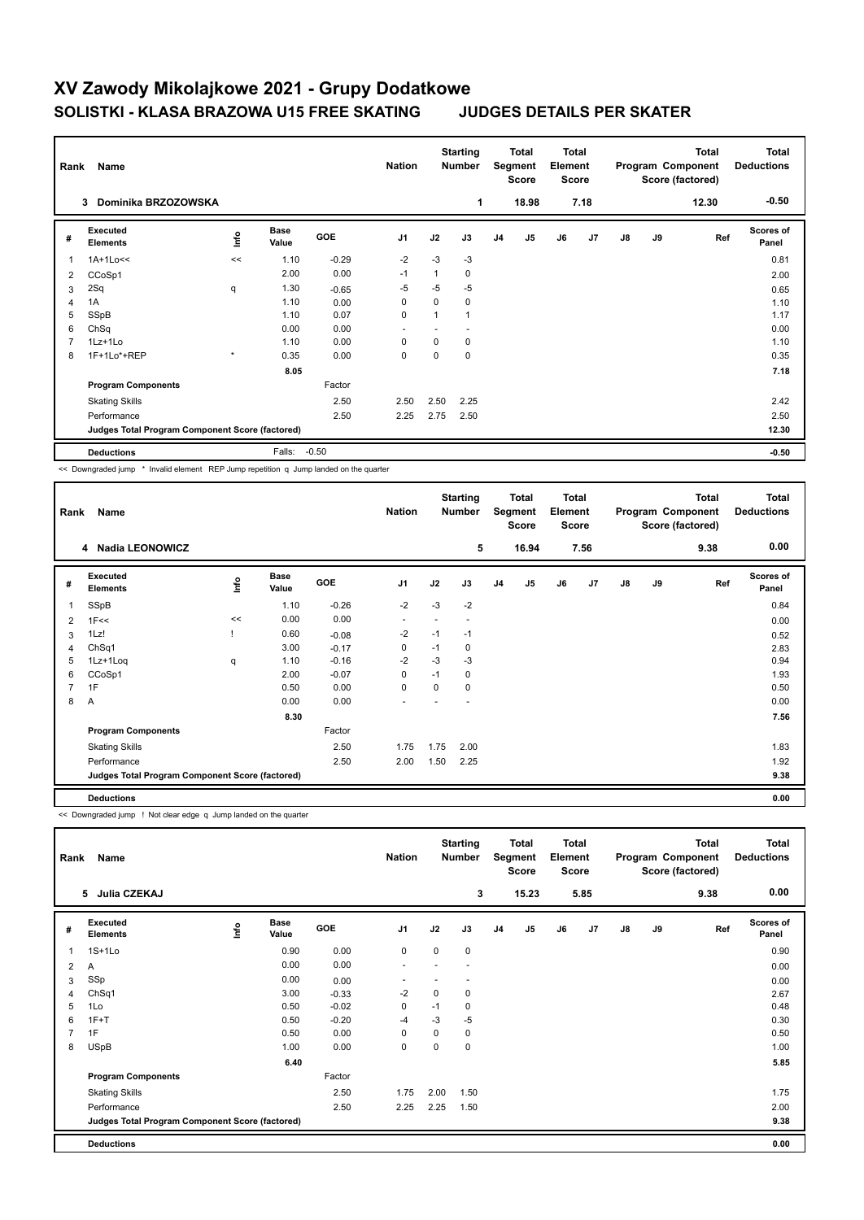# **XV Zawody Mikolajkowe 2021 - Grupy Dodatkowe SOLISTKI - KLASA BRAZOWA U15 FREE SKATING JUDGES DETAILS PER SKATER**

|                | Name<br>Rank                                    |         |                      |            | <b>Nation</b>  | <b>Starting</b><br><b>Number</b> |      | <b>Total</b><br>Segment<br><b>Score</b> |                | <b>Total</b><br>Element<br>Score |                | Total<br>Program Component<br>Score (factored) |    |       | <b>Total</b><br><b>Deductions</b> |
|----------------|-------------------------------------------------|---------|----------------------|------------|----------------|----------------------------------|------|-----------------------------------------|----------------|----------------------------------|----------------|------------------------------------------------|----|-------|-----------------------------------|
|                | Dominika BRZOZOWSKA<br>3                        |         |                      |            |                |                                  | 1    |                                         | 18.98          |                                  | 7.18           |                                                |    | 12.30 | $-0.50$                           |
| #              | Executed<br><b>Elements</b>                     | ١nf٥    | <b>Base</b><br>Value | <b>GOE</b> | J <sub>1</sub> | J2                               | J3   | J <sub>4</sub>                          | J <sub>5</sub> | J6                               | J <sub>7</sub> | $\mathsf{J}8$                                  | J9 | Ref   | <b>Scores of</b><br>Panel         |
| $\overline{1}$ | $1A+1Lo<<$                                      | <<      | 1.10                 | $-0.29$    | $-2$           | $-3$                             | $-3$ |                                         |                |                                  |                |                                                |    |       | 0.81                              |
| 2              | CCoSp1                                          |         | 2.00                 | 0.00       | $-1$           | 1                                | 0    |                                         |                |                                  |                |                                                |    |       | 2.00                              |
| 3              | 2Sq                                             | q       | 1.30                 | $-0.65$    | -5             | $-5$                             | $-5$ |                                         |                |                                  |                |                                                |    |       | 0.65                              |
| 4              | 1A                                              |         | 1.10                 | 0.00       | 0              | 0                                | 0    |                                         |                |                                  |                |                                                |    |       | 1.10                              |
| 5              | SSpB                                            |         | 1.10                 | 0.07       | $\mathbf 0$    | 1                                |      |                                         |                |                                  |                |                                                |    |       | 1.17                              |
| 6              | ChSq                                            |         | 0.00                 | 0.00       |                |                                  |      |                                         |                |                                  |                |                                                |    |       | 0.00                              |
| 7              | 1Lz+1Lo                                         |         | 1.10                 | 0.00       | $\Omega$       | $\Omega$                         | 0    |                                         |                |                                  |                |                                                |    |       | 1.10                              |
| 8              | 1F+1Lo*+REP                                     | $\star$ | 0.35                 | 0.00       | $\mathbf 0$    | 0                                | 0    |                                         |                |                                  |                |                                                |    |       | 0.35                              |
|                |                                                 |         | 8.05                 |            |                |                                  |      |                                         |                |                                  |                |                                                |    |       | 7.18                              |
|                | <b>Program Components</b>                       |         |                      | Factor     |                |                                  |      |                                         |                |                                  |                |                                                |    |       |                                   |
|                | <b>Skating Skills</b>                           |         |                      | 2.50       | 2.50           | 2.50                             | 2.25 |                                         |                |                                  |                |                                                |    |       | 2.42                              |
|                | Performance                                     |         |                      | 2.50       | 2.25           | 2.75                             | 2.50 |                                         |                |                                  |                |                                                |    |       | 2.50                              |
|                | Judges Total Program Component Score (factored) |         |                      |            |                |                                  |      |                                         |                |                                  |                |                                                |    |       | 12.30                             |
|                | <b>Deductions</b>                               |         | Falls:               | $-0.50$    |                |                                  |      |                                         |                |                                  |                |                                                |    |       | $-0.50$                           |

<< Downgraded jump \* Invalid element REP Jump repetition q Jump landed on the quarter

| Rank           | Name                                            |      |                      |            | <b>Nation</b>            |      | <b>Starting</b><br><b>Number</b> |                | Total<br>Segment<br><b>Score</b> | <b>Total</b><br>Element<br><b>Score</b> |      |               |    | <b>Total</b><br>Program Component<br>Score (factored) | <b>Total</b><br><b>Deductions</b> |
|----------------|-------------------------------------------------|------|----------------------|------------|--------------------------|------|----------------------------------|----------------|----------------------------------|-----------------------------------------|------|---------------|----|-------------------------------------------------------|-----------------------------------|
|                | 4 Nadia LEONOWICZ                               |      |                      |            |                          |      | 5                                |                | 16.94                            |                                         | 7.56 |               |    | 9.38                                                  | 0.00                              |
| #              | Executed<br><b>Elements</b>                     | ۱nfo | <b>Base</b><br>Value | <b>GOE</b> | J <sub>1</sub>           | J2   | J3                               | J <sub>4</sub> | J5                               | J6                                      | J7   | $\mathsf{J}8$ | J9 | Ref                                                   | <b>Scores of</b><br>Panel         |
| 1              | SSpB                                            |      | 1.10                 | $-0.26$    | $-2$                     | $-3$ | $-2$                             |                |                                  |                                         |      |               |    |                                                       | 0.84                              |
| 2              | 1F<<                                            | <<   | 0.00                 | 0.00       | $\overline{\phantom{a}}$ |      |                                  |                |                                  |                                         |      |               |    |                                                       | 0.00                              |
| 3              | 1Lz!                                            |      | 0.60                 | $-0.08$    | $-2$                     | $-1$ | $-1$                             |                |                                  |                                         |      |               |    |                                                       | 0.52                              |
| 4              | ChSq <sub>1</sub>                               |      | 3.00                 | $-0.17$    | 0                        | $-1$ | 0                                |                |                                  |                                         |      |               |    |                                                       | 2.83                              |
| 5              | 1Lz+1Loq                                        | q    | 1.10                 | $-0.16$    | $-2$                     | $-3$ | $-3$                             |                |                                  |                                         |      |               |    |                                                       | 0.94                              |
| 6              | CCoSp1                                          |      | 2.00                 | $-0.07$    | 0                        | $-1$ | 0                                |                |                                  |                                         |      |               |    |                                                       | 1.93                              |
| $\overline{7}$ | 1F                                              |      | 0.50                 | 0.00       | $\mathbf 0$              | 0    | 0                                |                |                                  |                                         |      |               |    |                                                       | 0.50                              |
| 8              | A                                               |      | 0.00                 | 0.00       | ٠                        |      |                                  |                |                                  |                                         |      |               |    |                                                       | 0.00                              |
|                |                                                 |      | 8.30                 |            |                          |      |                                  |                |                                  |                                         |      |               |    |                                                       | 7.56                              |
|                | <b>Program Components</b>                       |      |                      | Factor     |                          |      |                                  |                |                                  |                                         |      |               |    |                                                       |                                   |
|                | <b>Skating Skills</b>                           |      |                      | 2.50       | 1.75                     | 1.75 | 2.00                             |                |                                  |                                         |      |               |    |                                                       | 1.83                              |
|                | Performance                                     |      |                      | 2.50       | 2.00                     | 1.50 | 2.25                             |                |                                  |                                         |      |               |    |                                                       | 1.92                              |
|                | Judges Total Program Component Score (factored) |      |                      |            |                          |      |                                  |                |                                  |                                         |      |               |    |                                                       | 9.38                              |
|                | <b>Deductions</b>                               |      |                      |            |                          |      |                                  |                |                                  |                                         |      |               |    |                                                       | 0.00                              |

<< Downgraded jump ! Not clear edge q Jump landed on the quarter

| Rank           | Name                                            |      |               |         | <b>Nation</b>            |      | <b>Starting</b><br>Number |                | Total<br>Segment<br><b>Score</b> | <b>Total</b><br>Element<br><b>Score</b> |      |               |    | <b>Total</b><br>Program Component<br>Score (factored) | <b>Total</b><br><b>Deductions</b> |
|----------------|-------------------------------------------------|------|---------------|---------|--------------------------|------|---------------------------|----------------|----------------------------------|-----------------------------------------|------|---------------|----|-------------------------------------------------------|-----------------------------------|
|                | Julia CZEKAJ<br>5                               |      |               |         |                          |      | 3                         |                | 15.23                            |                                         | 5.85 |               |    | 9.38                                                  | 0.00                              |
| #              | Executed<br><b>Elements</b>                     | lnfo | Base<br>Value | GOE     | J <sub>1</sub>           | J2   | J3                        | J <sub>4</sub> | J5                               | J6                                      | J7   | $\mathsf{J}8$ | J9 | Ref                                                   | <b>Scores of</b><br>Panel         |
| 1              | $1S+1Lo$                                        |      | 0.90          | 0.00    | 0                        | 0    | 0                         |                |                                  |                                         |      |               |    |                                                       | 0.90                              |
| 2              | Α                                               |      | 0.00          | 0.00    | $\overline{\phantom{a}}$ |      |                           |                |                                  |                                         |      |               |    |                                                       | 0.00                              |
| 3              | SSp                                             |      | 0.00          | 0.00    |                          |      |                           |                |                                  |                                         |      |               |    |                                                       | 0.00                              |
| 4              | ChSq1                                           |      | 3.00          | $-0.33$ | -2                       | 0    | 0                         |                |                                  |                                         |      |               |    |                                                       | 2.67                              |
| 5              | 1Lo                                             |      | 0.50          | $-0.02$ | 0                        | $-1$ | 0                         |                |                                  |                                         |      |               |    |                                                       | 0.48                              |
| 6              | $1F+T$                                          |      | 0.50          | $-0.20$ | $-4$                     | $-3$ | -5                        |                |                                  |                                         |      |               |    |                                                       | 0.30                              |
| $\overline{7}$ | 1F                                              |      | 0.50          | 0.00    | 0                        | 0    | 0                         |                |                                  |                                         |      |               |    |                                                       | 0.50                              |
| 8              | <b>USpB</b>                                     |      | 1.00          | 0.00    | 0                        | 0    | 0                         |                |                                  |                                         |      |               |    |                                                       | 1.00                              |
|                |                                                 |      | 6.40          |         |                          |      |                           |                |                                  |                                         |      |               |    |                                                       | 5.85                              |
|                | <b>Program Components</b>                       |      |               | Factor  |                          |      |                           |                |                                  |                                         |      |               |    |                                                       |                                   |
|                | <b>Skating Skills</b>                           |      |               | 2.50    | 1.75                     | 2.00 | 1.50                      |                |                                  |                                         |      |               |    |                                                       | 1.75                              |
|                | Performance                                     |      |               | 2.50    | 2.25                     | 2.25 | 1.50                      |                |                                  |                                         |      |               |    |                                                       | 2.00                              |
|                | Judges Total Program Component Score (factored) |      |               |         |                          |      |                           |                |                                  |                                         |      |               |    |                                                       | 9.38                              |
|                | <b>Deductions</b>                               |      |               |         |                          |      |                           |                |                                  |                                         |      |               |    |                                                       | 0.00                              |